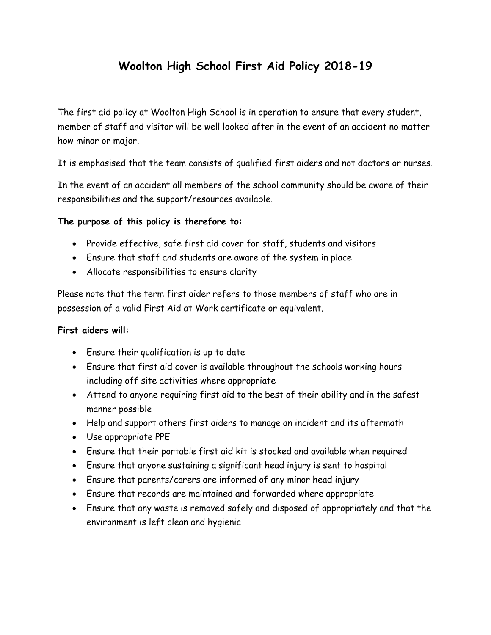# **Woolton High School First Aid Policy 2018-19**

The first aid policy at Woolton High School is in operation to ensure that every student, member of staff and visitor will be well looked after in the event of an accident no matter how minor or major.

It is emphasised that the team consists of qualified first aiders and not doctors or nurses.

In the event of an accident all members of the school community should be aware of their responsibilities and the support/resources available.

#### **The purpose of this policy is therefore to:**

- Provide effective, safe first aid cover for staff, students and visitors
- Ensure that staff and students are aware of the system in place
- Allocate responsibilities to ensure clarity

Please note that the term first aider refers to those members of staff who are in possession of a valid First Aid at Work certificate or equivalent.

#### **First aiders will:**

- Ensure their qualification is up to date
- Ensure that first aid cover is available throughout the schools working hours including off site activities where appropriate
- Attend to anyone requiring first aid to the best of their ability and in the safest manner possible
- Help and support others first aiders to manage an incident and its aftermath
- Use appropriate PPE
- Ensure that their portable first aid kit is stocked and available when required
- Ensure that anyone sustaining a significant head injury is sent to hospital
- Ensure that parents/carers are informed of any minor head injury
- Ensure that records are maintained and forwarded where appropriate
- Ensure that any waste is removed safely and disposed of appropriately and that the environment is left clean and hygienic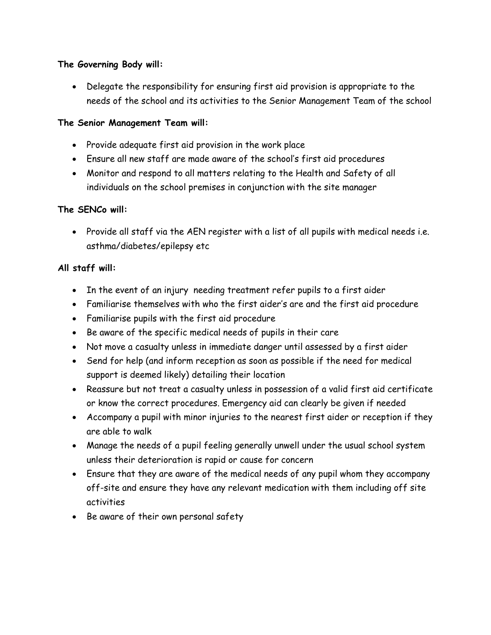#### **The Governing Body will:**

 Delegate the responsibility for ensuring first aid provision is appropriate to the needs of the school and its activities to the Senior Management Team of the school

#### **The Senior Management Team will:**

- Provide adequate first aid provision in the work place
- Ensure all new staff are made aware of the school's first aid procedures
- Monitor and respond to all matters relating to the Health and Safety of all individuals on the school premises in conjunction with the site manager

# **The SENCo will:**

• Provide all staff via the AEN register with a list of all pupils with medical needs i.e. asthma/diabetes/epilepsy etc

# **All staff will:**

- In the event of an injury needing treatment refer pupils to a first aider
- Familiarise themselves with who the first aider's are and the first aid procedure
- Familiarise pupils with the first aid procedure
- Be aware of the specific medical needs of pupils in their care
- Not move a casualty unless in immediate danger until assessed by a first aider
- Send for help (and inform reception as soon as possible if the need for medical support is deemed likely) detailing their location
- Reassure but not treat a casualty unless in possession of a valid first aid certificate or know the correct procedures. Emergency aid can clearly be given if needed
- Accompany a pupil with minor injuries to the nearest first aider or reception if they are able to walk
- Manage the needs of a pupil feeling generally unwell under the usual school system unless their deterioration is rapid or cause for concern
- Ensure that they are aware of the medical needs of any pupil whom they accompany off-site and ensure they have any relevant medication with them including off site activities
- Be aware of their own personal safety